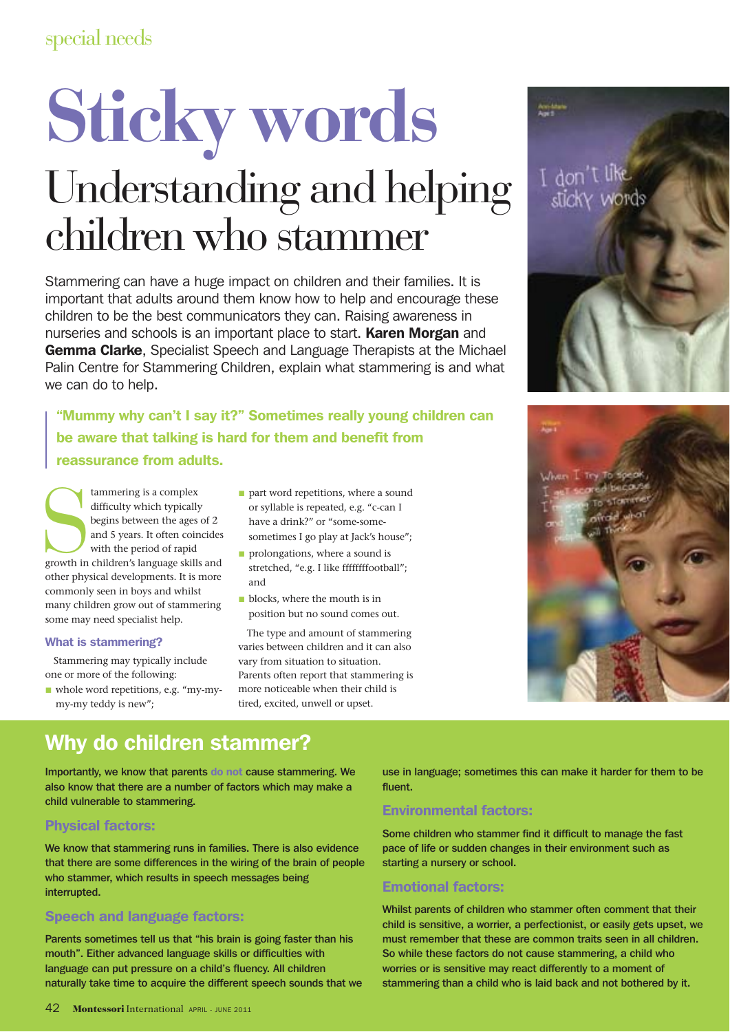# **Sticky words** Understanding and helping children who stammer

Stammering can have a huge impact on children and their families. It is important that adults around them know how to help and encourage these children to be the best communicators they can. Raising awareness in nurseries and schools is an important place to start. Karen Morgan and Gemma Clarke, Specialist Speech and Language Therapists at the Michael Palin Centre for Stammering Children, explain what stammering is and what we can do to help.

"Mummy why can't I say it?" Sometimes really young children can be aware that talking is hard for them and benefit from reassurance from adults.

tammering is a complex<br>difficulty which typically<br>begins between the ages of 2<br>and 5 years. It often coincides<br>with the period of rapid<br>growth in children's language skills and<br>there hividen like in the skills tammering is a complex difficulty which typically begins between the ages of 2 and 5 years. It often coincides with the period of rapid other physical developments. It is more commonly seen in boys and whilst many children grow out of stammering some may need specialist help.

#### What is stammering?

Stammering may typically include one or more of the following:

whole word repetitions, e.g. "my-mymy-my teddy is new";

- **part word repetitions, where a sound** or syllable is repeated, e.g. "c-can I have a drink?" or "some-some-
- sometimes I go play at Jack's house";
- **prolongations**, where a sound is stretched, "e.g. I like ffffffffootball"; and
- **D** blocks, where the mouth is in position but no sound comes out.

The type and amount of stammering varies between children and it can also vary from situation to situation. Parents often report that stammering is more noticeable when their child is tired, excited, unwell or upset.

I don't like<br>slicky words



# Why do children stammer?

Importantly, we know that parents do not cause stammering. We also know that there are a number of factors which may make a child vulnerable to stammering.

## Physical factors:

We know that stammering runs in families. There is also evidence that there are some differences in the wiring of the brain of people who stammer, which results in speech messages being interrupted.

## Speech and language factors:

Parents sometimes tell us that "his brain is going faster than his mouth". Either advanced language skills or difficulties with language can put pressure on a child's fluency. All children naturally take time to acquire the different speech sounds that we use in language; sometimes this can make it harder for them to be fluent.

# Environmental factors:

Some children who stammer find it difficult to manage the fast pace of life or sudden changes in their environment such as starting a nursery or school.

## Emotional factors:

Whilst parents of children who stammer often comment that their child is sensitive, a worrier, a perfectionist, or easily gets upset, we must remember that these are common traits seen in all children. So while these factors do not cause stammering, a child who worries or is sensitive may react differently to a moment of stammering than a child who is laid back and not bothered by it.